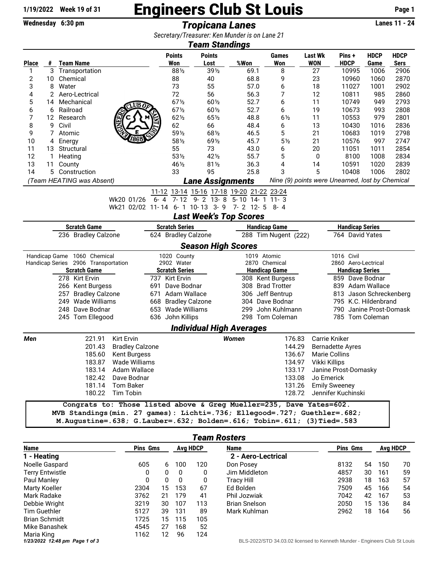## $\frac{1}{19/2022}$  Week 19 of 31 **Engineers Club St Louis** Page 1<br>Wednesday 6:30 pm<br>Tropicana Lanes

Wednesday 6:30 pm **Tropicana Lanes** 

*Secretary/Treasurer: Ken Munder is on Lane 21*

 $\overline{\phantom{a}}$ 

| <b>Team Standings</b>                                                                                                                              |                               |         |                                     |                                                                     |                     |                                           |                      |                                 |                                |                         |                        |                         |             |             |  |
|----------------------------------------------------------------------------------------------------------------------------------------------------|-------------------------------|---------|-------------------------------------|---------------------------------------------------------------------|---------------------|-------------------------------------------|----------------------|---------------------------------|--------------------------------|-------------------------|------------------------|-------------------------|-------------|-------------|--|
|                                                                                                                                                    |                               |         |                                     |                                                                     |                     | <b>Points</b>                             | <b>Points</b>        |                                 |                                | <b>Games</b>            | <b>Last Wk</b>         | Pins +                  | <b>HDCP</b> | <b>HDCP</b> |  |
| <b>Place</b>                                                                                                                                       |                               |         | # Team Name                         |                                                                     |                     | Won                                       | Lost                 | %Won                            |                                | Won                     | <b>WON</b>             | <b>HDCP</b>             | Game        | <b>Sers</b> |  |
| 1                                                                                                                                                  |                               |         | 3 Transportation                    |                                                                     |                     | 881/2                                     | $39\frac{1}{2}$      | 69.1                            |                                | 8                       | 27                     | 10995                   | 1006        | 2906        |  |
| 2                                                                                                                                                  | 10                            |         | Chemical                            |                                                                     |                     | 88                                        | 40                   | 68.8                            |                                | 9                       | 23                     | 10960                   | 1060        | 2870        |  |
| 3                                                                                                                                                  | Water<br>8                    |         |                                     |                                                                     | 73                  | 55                                        | 57.0                 |                                 | 6                              | 18                      | 11027                  | 1001                    | 2902        |             |  |
| 4                                                                                                                                                  | Aero-Lectrical<br>2           |         |                                     |                                                                     | 72                  | 56                                        | 56.3                 |                                 | 7                              | 12                      | 10811                  | 985                     | 2860        |             |  |
| 5                                                                                                                                                  | Mechanical<br>14<br>LUB       |         |                                     | $67\%$                                                              | 601/2               | 52.7                                      |                      | 6                               | 11                             | 10749                   | 949                    | 2793                    |             |             |  |
| 6                                                                                                                                                  | Railroad<br>6                 |         |                                     |                                                                     | 671/2               | 601/2                                     | 52.7                 |                                 | 6                              | 19                      | 10673                  | 993                     | 2808        |             |  |
| 7                                                                                                                                                  | 12                            |         | Research                            |                                                                     |                     | $62\frac{1}{2}$                           | 65%                  | 48.8                            |                                | $6\frac{1}{2}$          | 11                     | 10553                   | 979         | 2801        |  |
| 8                                                                                                                                                  | 9<br>Civil                    |         |                                     |                                                                     | 62                  | 66                                        | 48.4                 |                                 | 6                              | 13                      | 10430                  | 1016                    | 2836        |             |  |
|                                                                                                                                                    | 9<br>7<br>Atomic              |         |                                     |                                                                     | 591/2               | 681/2                                     | 46.5                 |                                 | 5                              | 21                      | 10683                  | 1019                    | 2798        |             |  |
| 10                                                                                                                                                 | 4                             | Energy  |                                     |                                                                     |                     | 581/2                                     | 691/2                | 45.7                            |                                | 5 <sub>2</sub>          | 21                     | 10576                   | 997         | 2747        |  |
| 11                                                                                                                                                 | 13                            |         | Structural                          |                                                                     |                     | 55                                        | 73                   | 43.0                            |                                | 6                       | 20                     | 11051                   | 1011        | 2854        |  |
| 12                                                                                                                                                 | 1                             | Heating |                                     |                                                                     |                     | 531/2                                     | 421/2                | 55.7                            |                                | 5                       | 0                      | 8100                    | 1008        | 2834        |  |
| 13                                                                                                                                                 | 11                            | County  |                                     |                                                                     |                     | 461/2                                     | $81\frac{1}{2}$      | 36.3                            |                                | 4<br>3                  | 14                     | 10591                   | 1020        | 2839        |  |
| 14                                                                                                                                                 | 5                             |         | Construction                        |                                                                     |                     | 33                                        | 95                   | 25.8                            |                                |                         | 5                      | 10408                   | 1006        | 2802        |  |
| Nine (9) points were Unearned, lost by Chemical<br>(Team HEATING was Absent)<br>Lane Assignments                                                   |                               |         |                                     |                                                                     |                     |                                           |                      |                                 |                                |                         |                        |                         |             |             |  |
|                                                                                                                                                    |                               |         |                                     |                                                                     |                     | 11-12 13-14 15-16 17-18 19-20 21-22 23-24 |                      |                                 |                                |                         |                        |                         |             |             |  |
|                                                                                                                                                    |                               |         |                                     | Wk20 01/26                                                          | $6 - 4$             |                                           |                      | 7-12 9-2 13-8 5-10 14-1 11-3    |                                |                         |                        |                         |             |             |  |
|                                                                                                                                                    |                               |         |                                     | Wk21 02/02 11-14 6-1 10-13 3-9 7-2 12-5 8-4                         |                     |                                           |                      |                                 |                                |                         |                        |                         |             |             |  |
|                                                                                                                                                    |                               |         |                                     |                                                                     |                     |                                           |                      | <b>Last Week's Top Scores</b>   |                                |                         |                        |                         |             |             |  |
| <b>Scratch Game</b>                                                                                                                                |                               |         |                                     |                                                                     |                     | <b>Scratch Series</b>                     |                      |                                 | <b>Handicap Game</b>           |                         |                        | <b>Handicap Series</b>  |             |             |  |
| 236 Bradley Calzone                                                                                                                                |                               |         |                                     |                                                                     | 624 Bradley Calzone | 288 Tim Nugent (222)                      |                      |                                 |                                | 764 David Yates         |                        |                         |             |             |  |
|                                                                                                                                                    |                               |         |                                     |                                                                     |                     |                                           |                      | <b>Season High Scores</b>       |                                |                         |                        |                         |             |             |  |
|                                                                                                                                                    |                               |         | Handicap Game 1060 Chemical         |                                                                     |                     | 1020 County                               |                      | 1019 Atomic                     |                                |                         |                        | 1016 Civil              |             |             |  |
|                                                                                                                                                    |                               |         | Handicap Series 2906 Transportation |                                                                     |                     | 2902 Water                                |                      | 2870 Chemical                   |                                |                         |                        | 2860 Aero-Lectrical     |             |             |  |
|                                                                                                                                                    |                               |         | <b>Scratch Game</b>                 |                                                                     |                     | <b>Scratch Series</b>                     | <b>Handicap Game</b> |                                 |                                |                         | <b>Handicap Series</b> |                         |             |             |  |
|                                                                                                                                                    | 278 Kirt Ervin                |         |                                     |                                                                     |                     | 737 Kirt Ervin                            | 308 Kent Burgess     |                                 |                                |                         | 859 Dave Bodnar        |                         |             |             |  |
|                                                                                                                                                    | 266 Kent Burgess              |         |                                     | 691                                                                 | Dave Bodnar         | 308 Brad Trotter                          |                      |                                 |                                | 839 Adam Wallace        |                        |                         |             |             |  |
|                                                                                                                                                    | 257<br><b>Bradley Calzone</b> |         |                                     |                                                                     | 671 Adam Wallace    |                                           | 306 Jeff Bentrup     |                                 |                                | 813 Jason Schreckenberg |                        |                         |             |             |  |
|                                                                                                                                                    |                               |         | 249 Wade Williams                   |                                                                     | 668                 | <b>Bradley Calzone</b>                    |                      |                                 |                                | 304 Dave Bodnar         |                        | 795 K.C. Hildenbrand    |             |             |  |
|                                                                                                                                                    |                               |         | 248 Dave Bodnar                     |                                                                     |                     | 653 Wade Williams                         |                      |                                 |                                | 299 John Kuhlmann       |                        | 790 Janine Prost-Domask |             |             |  |
|                                                                                                                                                    |                               |         | 245 Tom Ellegood                    |                                                                     |                     | 636 John Killips                          |                      |                                 |                                | 298 Tom Coleman         |                        | 785 Tom Coleman         |             |             |  |
|                                                                                                                                                    |                               |         |                                     |                                                                     |                     |                                           |                      | <b>Individual High Averages</b> |                                |                         |                        |                         |             |             |  |
| Men                                                                                                                                                |                               |         | 221.91                              | <b>Kirt Ervin</b>                                                   |                     |                                           |                      | Women                           |                                | 176.83                  |                        | Carrie Kniker           |             |             |  |
|                                                                                                                                                    |                               |         | 201.43                              | <b>Bradley Calzone</b>                                              |                     |                                           |                      |                                 |                                | 144.29                  |                        | <b>Bernadette Ayres</b> |             |             |  |
|                                                                                                                                                    |                               |         | 185.60                              | <b>Kent Burgess</b>                                                 |                     |                                           |                      |                                 |                                | 136.67                  |                        | <b>Marie Collins</b>    |             |             |  |
|                                                                                                                                                    |                               |         |                                     | 183.87 Wade Williams                                                |                     |                                           |                      |                                 |                                |                         | 134.97 Vikki Killips   |                         |             |             |  |
| 183.14 Adam Wallace                                                                                                                                |                               |         |                                     |                                                                     |                     |                                           |                      |                                 | 133.17<br>Janine Prost-Domasky |                         |                        |                         |             |             |  |
| 182.42 Dave Bodnar                                                                                                                                 |                               |         |                                     |                                                                     |                     |                                           |                      |                                 | 133.08                         |                         |                        | Jo Emerick              |             |             |  |
| 181.14 Tom Baker                                                                                                                                   |                               |         |                                     |                                                                     |                     |                                           |                      |                                 | 131.26                         |                         |                        | <b>Emily Sweeney</b>    |             |             |  |
| 180.22 Tim Tobin                                                                                                                                   |                               |         |                                     |                                                                     |                     |                                           |                      | 128.72                          |                                |                         |                        | Jennifer Kuchinski      |             |             |  |
|                                                                                                                                                    |                               |         |                                     |                                                                     |                     |                                           |                      |                                 |                                |                         |                        |                         |             |             |  |
|                                                                                                                                                    |                               |         |                                     | Congrats to: Those listed above & Greg Mueller=235, Dave Yates=602. |                     |                                           |                      |                                 |                                |                         |                        |                         |             |             |  |
| MVB Standings(min. 27 games): Lichti=.736; Ellegood=.727; Guethler=.682;<br>M.Augustine=.638; G.Lauber=.632; Bolden=.616; Tobin=.611; (3)Tied=.583 |                               |         |                                     |                                                                     |                     |                                           |                      |                                 |                                |                         |                        |                         |             |             |  |
|                                                                                                                                                    |                               |         |                                     |                                                                     |                     |                                           |                      |                                 |                                |                         |                        |                         |             |             |  |

## *Team Rosters*

| Name                           | <b>Pins Gms</b> |    | Avg HDCP     |     | <b>Name</b>                                                                | <b>Pins Gms</b> |    | <b>Avg HDCP</b> |    |
|--------------------------------|-----------------|----|--------------|-----|----------------------------------------------------------------------------|-----------------|----|-----------------|----|
| 1 - Heating                    |                 |    |              |     | 2 - Aero-Lectrical                                                         |                 |    |                 |    |
| Noelle Gaspard                 | 605             | 6  | 100          | 120 | Don Posey                                                                  | 8132            | 54 | 150             | 70 |
| <b>Terry Entwistle</b>         | 0               | 0  | 0            | 0   | Jim Middleton                                                              | 4857            | 30 | 161             | 59 |
| Paul Manley                    | 0               | 0  | $\mathbf{0}$ | 0   | Tracy Hill                                                                 | 2938            | 18 | 163             | 57 |
| Marty Koeller                  | 2304            | 15 | 153          | 67  | Ed Bolden                                                                  | 7509            | 45 | 166             | 54 |
| Mark Radake                    | 3762            | 21 | 179          | 41  | Phil Jozwiak                                                               | 7042            | 42 | 167             | 53 |
| Debbie Wright                  | 3219            | 30 | 107          | 113 | <b>Brian Snelson</b>                                                       | 2050            | 15 | 136             | 84 |
| Tim Guethler                   | 5127            | 39 | 131          | 89  | Mark Kuhlman                                                               | 2962            | 18 | 164             | 56 |
| <b>Brian Schmidt</b>           | 1725            | 15 | 115          | 105 |                                                                            |                 |    |                 |    |
| Mike Banashek                  | 4545            | 27 | 168          | 52  |                                                                            |                 |    |                 |    |
| Maria King                     | 1162            | 12 | 96           | 124 |                                                                            |                 |    |                 |    |
| 1/23/2022 12:48 pm Page 1 of 3 |                 |    |              |     | BLS-2022/STD 34.03.02 licensed to Kenneth Munder - Engineers Club St Louis |                 |    |                 |    |